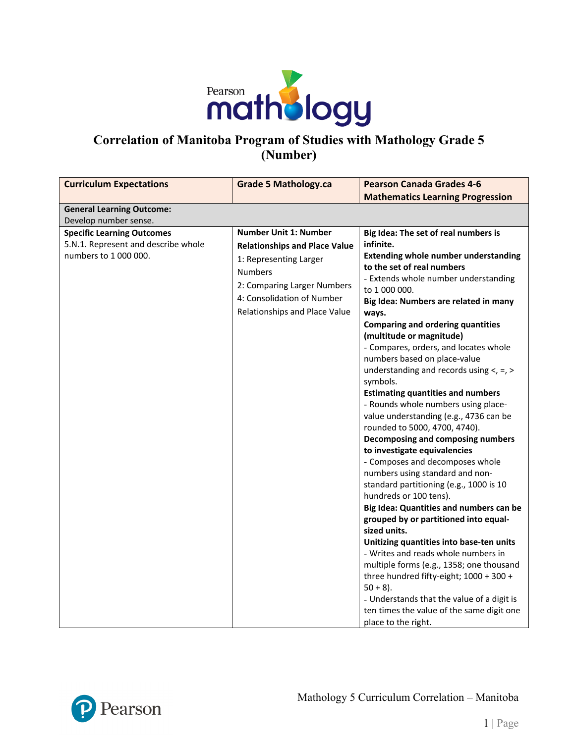

# **Correlation of Manitoba Program of Studies with Mathology Grade 5 (Number)**

| <b>Curriculum Expectations</b>                                                                    | <b>Grade 5 Mathology.ca</b>                                                                                                                                                                                    | <b>Pearson Canada Grades 4-6</b>                                                                                                                                                                                                                                                                                                                                                                                                                                                                                                                                                                                                                                                                                                                                                                                                                                                                                                                                                                                                                                                                                                                                                                                                                    |
|---------------------------------------------------------------------------------------------------|----------------------------------------------------------------------------------------------------------------------------------------------------------------------------------------------------------------|-----------------------------------------------------------------------------------------------------------------------------------------------------------------------------------------------------------------------------------------------------------------------------------------------------------------------------------------------------------------------------------------------------------------------------------------------------------------------------------------------------------------------------------------------------------------------------------------------------------------------------------------------------------------------------------------------------------------------------------------------------------------------------------------------------------------------------------------------------------------------------------------------------------------------------------------------------------------------------------------------------------------------------------------------------------------------------------------------------------------------------------------------------------------------------------------------------------------------------------------------------|
|                                                                                                   |                                                                                                                                                                                                                | <b>Mathematics Learning Progression</b>                                                                                                                                                                                                                                                                                                                                                                                                                                                                                                                                                                                                                                                                                                                                                                                                                                                                                                                                                                                                                                                                                                                                                                                                             |
| <b>General Learning Outcome:</b>                                                                  |                                                                                                                                                                                                                |                                                                                                                                                                                                                                                                                                                                                                                                                                                                                                                                                                                                                                                                                                                                                                                                                                                                                                                                                                                                                                                                                                                                                                                                                                                     |
| Develop number sense.                                                                             |                                                                                                                                                                                                                |                                                                                                                                                                                                                                                                                                                                                                                                                                                                                                                                                                                                                                                                                                                                                                                                                                                                                                                                                                                                                                                                                                                                                                                                                                                     |
| <b>Specific Learning Outcomes</b><br>5.N.1. Represent and describe whole<br>numbers to 1 000 000. | <b>Number Unit 1: Number</b><br><b>Relationships and Place Value</b><br>1: Representing Larger<br><b>Numbers</b><br>2: Comparing Larger Numbers<br>4: Consolidation of Number<br>Relationships and Place Value | Big Idea: The set of real numbers is<br>infinite.<br><b>Extending whole number understanding</b><br>to the set of real numbers<br>- Extends whole number understanding<br>to 1 000 000.<br>Big Idea: Numbers are related in many<br>ways.<br><b>Comparing and ordering quantities</b><br>(multitude or magnitude)<br>- Compares, orders, and locates whole<br>numbers based on place-value<br>understanding and records using $\lt$ , =, ><br>symbols.<br><b>Estimating quantities and numbers</b><br>- Rounds whole numbers using place-<br>value understanding (e.g., 4736 can be<br>rounded to 5000, 4700, 4740).<br>Decomposing and composing numbers<br>to investigate equivalencies<br>- Composes and decomposes whole<br>numbers using standard and non-<br>standard partitioning (e.g., 1000 is 10<br>hundreds or 100 tens).<br>Big Idea: Quantities and numbers can be<br>grouped by or partitioned into equal-<br>sized units.<br>Unitizing quantities into base-ten units<br>- Writes and reads whole numbers in<br>multiple forms (e.g., 1358; one thousand<br>three hundred fifty-eight; 1000 + 300 +<br>$50 + 8$ ).<br>- Understands that the value of a digit is<br>ten times the value of the same digit one<br>place to the right. |

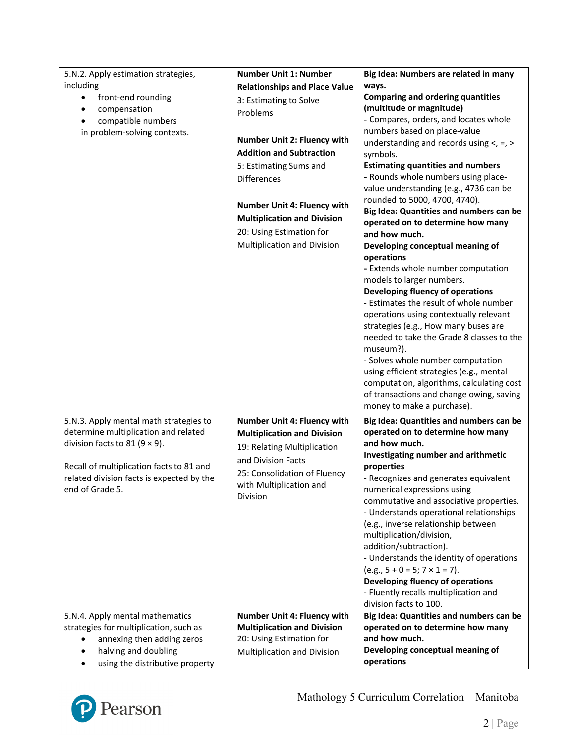| 5.N.2. Apply estimation strategies,       | <b>Number Unit 1: Number</b>         | Big Idea: Numbers are related in many                                      |
|-------------------------------------------|--------------------------------------|----------------------------------------------------------------------------|
| including                                 | <b>Relationships and Place Value</b> | ways.                                                                      |
| front-end rounding<br>$\bullet$           | 3: Estimating to Solve               | <b>Comparing and ordering quantities</b>                                   |
| compensation                              | Problems                             | (multitude or magnitude)                                                   |
| compatible numbers                        |                                      | - Compares, orders, and locates whole                                      |
| in problem-solving contexts.              |                                      | numbers based on place-value                                               |
|                                           | <b>Number Unit 2: Fluency with</b>   | understanding and records using $\lt$ , =, >                               |
|                                           | <b>Addition and Subtraction</b>      | symbols.                                                                   |
|                                           | 5: Estimating Sums and               | <b>Estimating quantities and numbers</b>                                   |
|                                           | <b>Differences</b>                   | - Rounds whole numbers using place-                                        |
|                                           |                                      | value understanding (e.g., 4736 can be                                     |
|                                           | <b>Number Unit 4: Fluency with</b>   | rounded to 5000, 4700, 4740).                                              |
|                                           | <b>Multiplication and Division</b>   | Big Idea: Quantities and numbers can be                                    |
|                                           |                                      | operated on to determine how many                                          |
|                                           | 20: Using Estimation for             | and how much.                                                              |
|                                           | Multiplication and Division          | Developing conceptual meaning of                                           |
|                                           |                                      | operations                                                                 |
|                                           |                                      | - Extends whole number computation                                         |
|                                           |                                      | models to larger numbers.                                                  |
|                                           |                                      | Developing fluency of operations<br>- Estimates the result of whole number |
|                                           |                                      | operations using contextually relevant                                     |
|                                           |                                      | strategies (e.g., How many buses are                                       |
|                                           |                                      | needed to take the Grade 8 classes to the                                  |
|                                           |                                      | museum?).                                                                  |
|                                           |                                      | - Solves whole number computation                                          |
|                                           |                                      | using efficient strategies (e.g., mental                                   |
|                                           |                                      | computation, algorithms, calculating cost                                  |
|                                           |                                      | of transactions and change owing, saving                                   |
|                                           |                                      | money to make a purchase).                                                 |
| 5.N.3. Apply mental math strategies to    | Number Unit 4: Fluency with          | Big Idea: Quantities and numbers can be                                    |
| determine multiplication and related      | <b>Multiplication and Division</b>   | operated on to determine how many                                          |
| division facts to 81 (9 $\times$ 9).      | 19: Relating Multiplication          | and how much.                                                              |
|                                           |                                      | Investigating number and arithmetic                                        |
| Recall of multiplication facts to 81 and  | and Division Facts                   | properties                                                                 |
| related division facts is expected by the | 25: Consolidation of Fluency         | - Recognizes and generates equivalent                                      |
| end of Grade 5.                           | with Multiplication and              | numerical expressions using                                                |
|                                           | Division                             | commutative and associative properties.                                    |
|                                           |                                      | - Understands operational relationships                                    |
|                                           |                                      | (e.g., inverse relationship between                                        |
|                                           |                                      | multiplication/division,                                                   |
|                                           |                                      | addition/subtraction).                                                     |
|                                           |                                      | - Understands the identity of operations                                   |
|                                           |                                      | $(e.g., 5 + 0 = 5; 7 \times 1 = 7).$                                       |
|                                           |                                      | Developing fluency of operations                                           |
|                                           |                                      | - Fluently recalls multiplication and                                      |
|                                           |                                      | division facts to 100.                                                     |
| 5.N.4. Apply mental mathematics           | Number Unit 4: Fluency with          | Big Idea: Quantities and numbers can be                                    |
| strategies for multiplication, such as    | <b>Multiplication and Division</b>   | operated on to determine how many                                          |
| annexing then adding zeros                | 20: Using Estimation for             | and how much.                                                              |
| halving and doubling                      | Multiplication and Division          | Developing conceptual meaning of                                           |
| using the distributive property           |                                      | operations                                                                 |

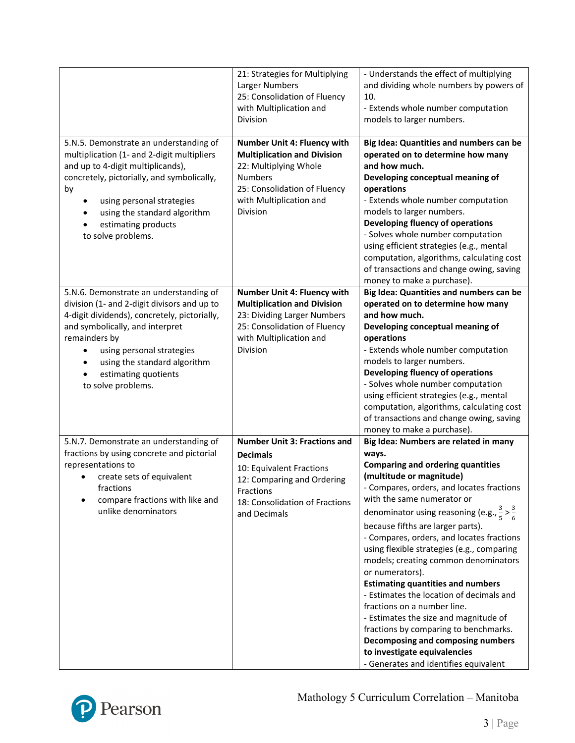|                                                                                                                                                                                                                                                                                                                | 21: Strategies for Multiplying<br>Larger Numbers<br>25: Consolidation of Fluency<br>with Multiplication and<br><b>Division</b>                                                             | - Understands the effect of multiplying<br>and dividing whole numbers by powers of<br>10.<br>- Extends whole number computation<br>models to larger numbers.                                                                                                                                                                                                                                                                                                                                                                                                                                                                                                                                                                                                                        |
|----------------------------------------------------------------------------------------------------------------------------------------------------------------------------------------------------------------------------------------------------------------------------------------------------------------|--------------------------------------------------------------------------------------------------------------------------------------------------------------------------------------------|-------------------------------------------------------------------------------------------------------------------------------------------------------------------------------------------------------------------------------------------------------------------------------------------------------------------------------------------------------------------------------------------------------------------------------------------------------------------------------------------------------------------------------------------------------------------------------------------------------------------------------------------------------------------------------------------------------------------------------------------------------------------------------------|
| 5.N.5. Demonstrate an understanding of<br>multiplication (1- and 2-digit multipliers<br>and up to 4-digit multiplicands),<br>concretely, pictorially, and symbolically,<br>by<br>using personal strategies<br>using the standard algorithm<br>estimating products<br>to solve problems.                        | <b>Number Unit 4: Fluency with</b><br><b>Multiplication and Division</b><br>22: Multiplying Whole<br><b>Numbers</b><br>25: Consolidation of Fluency<br>with Multiplication and<br>Division | Big Idea: Quantities and numbers can be<br>operated on to determine how many<br>and how much.<br>Developing conceptual meaning of<br>operations<br>- Extends whole number computation<br>models to larger numbers.<br>Developing fluency of operations<br>- Solves whole number computation<br>using efficient strategies (e.g., mental<br>computation, algorithms, calculating cost<br>of transactions and change owing, saving<br>money to make a purchase).                                                                                                                                                                                                                                                                                                                      |
| 5.N.6. Demonstrate an understanding of<br>division (1- and 2-digit divisors and up to<br>4-digit dividends), concretely, pictorially,<br>and symbolically, and interpret<br>remainders by<br>using personal strategies<br>٠<br>using the standard algorithm<br>٠<br>estimating quotients<br>to solve problems. | Number Unit 4: Fluency with<br><b>Multiplication and Division</b><br>23: Dividing Larger Numbers<br>25: Consolidation of Fluency<br>with Multiplication and<br><b>Division</b>             | Big Idea: Quantities and numbers can be<br>operated on to determine how many<br>and how much.<br>Developing conceptual meaning of<br>operations<br>- Extends whole number computation<br>models to larger numbers.<br>Developing fluency of operations<br>- Solves whole number computation<br>using efficient strategies (e.g., mental<br>computation, algorithms, calculating cost<br>of transactions and change owing, saving<br>money to make a purchase).                                                                                                                                                                                                                                                                                                                      |
| 5.N.7. Demonstrate an understanding of<br>fractions by using concrete and pictorial<br>representations to<br>create sets of equivalent<br>fractions<br>compare fractions with like and<br>unlike denominators                                                                                                  | <b>Number Unit 3: Fractions and</b><br><b>Decimals</b><br>10: Equivalent Fractions<br>12: Comparing and Ordering<br>Fractions<br>18: Consolidation of Fractions<br>and Decimals            | Big Idea: Numbers are related in many<br>ways.<br><b>Comparing and ordering quantities</b><br>(multitude or magnitude)<br>Compares, orders, and locates fractions<br>with the same numerator or<br>denominator using reasoning (e.g., $\frac{3}{5} > \frac{3}{6}$<br>because fifths are larger parts).<br>- Compares, orders, and locates fractions<br>using flexible strategies (e.g., comparing<br>models; creating common denominators<br>or numerators).<br><b>Estimating quantities and numbers</b><br>- Estimates the location of decimals and<br>fractions on a number line.<br>- Estimates the size and magnitude of<br>fractions by comparing to benchmarks.<br>Decomposing and composing numbers<br>to investigate equivalencies<br>- Generates and identifies equivalent |

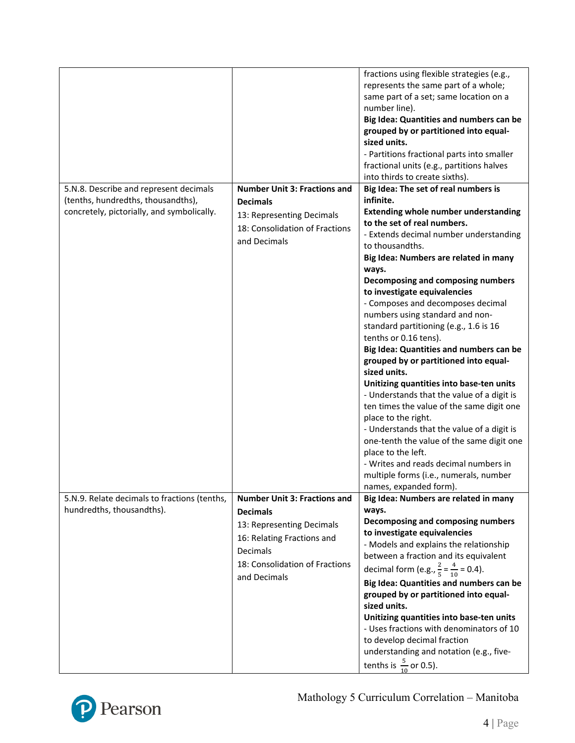|                                              |                                        | fractions using flexible strategies (e.g.,<br>represents the same part of a whole;<br>same part of a set; same location on a<br>number line).<br>Big Idea: Quantities and numbers can be<br>grouped by or partitioned into equal-<br>sized units.<br>- Partitions fractional parts into smaller<br>fractional units (e.g., partitions halves<br>into thirds to create sixths). |
|----------------------------------------------|----------------------------------------|--------------------------------------------------------------------------------------------------------------------------------------------------------------------------------------------------------------------------------------------------------------------------------------------------------------------------------------------------------------------------------|
| 5.N.8. Describe and represent decimals       | <b>Number Unit 3: Fractions and</b>    | Big Idea: The set of real numbers is                                                                                                                                                                                                                                                                                                                                           |
| (tenths, hundredths, thousandths),           | <b>Decimals</b>                        | infinite.                                                                                                                                                                                                                                                                                                                                                                      |
| concretely, pictorially, and symbolically.   | 13: Representing Decimals              | <b>Extending whole number understanding</b><br>to the set of real numbers.                                                                                                                                                                                                                                                                                                     |
|                                              | 18: Consolidation of Fractions         | - Extends decimal number understanding                                                                                                                                                                                                                                                                                                                                         |
|                                              | and Decimals                           | to thousandths.                                                                                                                                                                                                                                                                                                                                                                |
|                                              |                                        | Big Idea: Numbers are related in many                                                                                                                                                                                                                                                                                                                                          |
|                                              |                                        | ways.<br>Decomposing and composing numbers                                                                                                                                                                                                                                                                                                                                     |
|                                              |                                        | to investigate equivalencies                                                                                                                                                                                                                                                                                                                                                   |
|                                              |                                        | - Composes and decomposes decimal                                                                                                                                                                                                                                                                                                                                              |
|                                              |                                        | numbers using standard and non-                                                                                                                                                                                                                                                                                                                                                |
|                                              |                                        | standard partitioning (e.g., 1.6 is 16<br>tenths or 0.16 tens).                                                                                                                                                                                                                                                                                                                |
|                                              |                                        | Big Idea: Quantities and numbers can be                                                                                                                                                                                                                                                                                                                                        |
|                                              |                                        | grouped by or partitioned into equal-<br>sized units.                                                                                                                                                                                                                                                                                                                          |
|                                              |                                        | Unitizing quantities into base-ten units                                                                                                                                                                                                                                                                                                                                       |
|                                              |                                        | - Understands that the value of a digit is<br>ten times the value of the same digit one                                                                                                                                                                                                                                                                                        |
|                                              |                                        | place to the right.                                                                                                                                                                                                                                                                                                                                                            |
|                                              |                                        | - Understands that the value of a digit is                                                                                                                                                                                                                                                                                                                                     |
|                                              |                                        | one-tenth the value of the same digit one                                                                                                                                                                                                                                                                                                                                      |
|                                              |                                        | place to the left.<br>- Writes and reads decimal numbers in                                                                                                                                                                                                                                                                                                                    |
|                                              |                                        | multiple forms (i.e., numerals, number                                                                                                                                                                                                                                                                                                                                         |
|                                              |                                        | names, expanded form).                                                                                                                                                                                                                                                                                                                                                         |
| 5.N.9. Relate decimals to fractions (tenths, | <b>Number Unit 3: Fractions and</b>    | Big Idea: Numbers are related in many                                                                                                                                                                                                                                                                                                                                          |
| hundredths, thousandths).                    | <b>Decimals</b>                        | ways.<br>Decomposing and composing numbers                                                                                                                                                                                                                                                                                                                                     |
|                                              | 13: Representing Decimals              | to investigate equivalencies                                                                                                                                                                                                                                                                                                                                                   |
|                                              | 16: Relating Fractions and<br>Decimals | - Models and explains the relationship                                                                                                                                                                                                                                                                                                                                         |
|                                              | 18: Consolidation of Fractions         | between a fraction and its equivalent                                                                                                                                                                                                                                                                                                                                          |
|                                              | and Decimals                           | decimal form (e.g., $\frac{2}{5} = \frac{4}{10} = 0.4$ ).                                                                                                                                                                                                                                                                                                                      |
|                                              |                                        | Big Idea: Quantities and numbers can be                                                                                                                                                                                                                                                                                                                                        |
|                                              |                                        | grouped by or partitioned into equal-<br>sized units.                                                                                                                                                                                                                                                                                                                          |
|                                              |                                        | Unitizing quantities into base-ten units                                                                                                                                                                                                                                                                                                                                       |
|                                              |                                        | - Uses fractions with denominators of 10                                                                                                                                                                                                                                                                                                                                       |
|                                              |                                        | to develop decimal fraction                                                                                                                                                                                                                                                                                                                                                    |
|                                              |                                        | understanding and notation (e.g., five-<br>tenths is $\frac{5}{10}$ or 0.5).                                                                                                                                                                                                                                                                                                   |
|                                              |                                        |                                                                                                                                                                                                                                                                                                                                                                                |

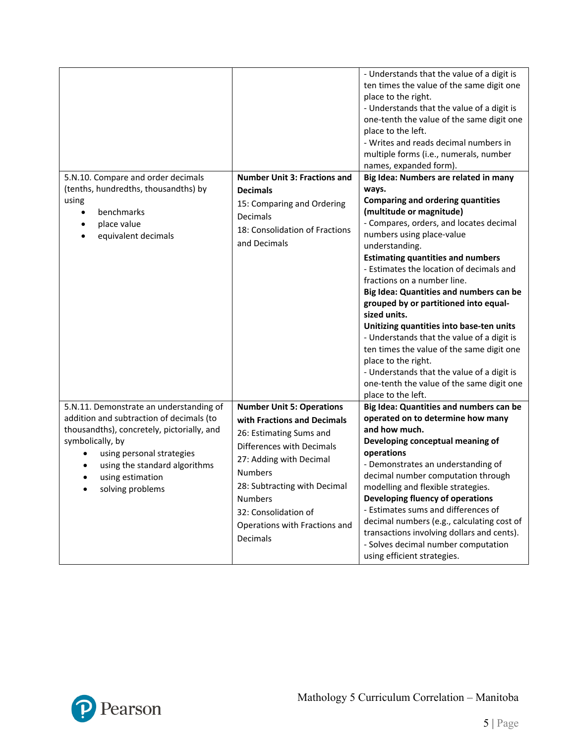|                                                                                                                                                                                                                                                                  |                                                                                                                                                                                                                                                                                             | - Understands that the value of a digit is<br>ten times the value of the same digit one<br>place to the right.<br>- Understands that the value of a digit is<br>one-tenth the value of the same digit one<br>place to the left.<br>- Writes and reads decimal numbers in<br>multiple forms (i.e., numerals, number<br>names, expanded form).                                                                                                                                                                                                                                                                                                                                                                               |
|------------------------------------------------------------------------------------------------------------------------------------------------------------------------------------------------------------------------------------------------------------------|---------------------------------------------------------------------------------------------------------------------------------------------------------------------------------------------------------------------------------------------------------------------------------------------|----------------------------------------------------------------------------------------------------------------------------------------------------------------------------------------------------------------------------------------------------------------------------------------------------------------------------------------------------------------------------------------------------------------------------------------------------------------------------------------------------------------------------------------------------------------------------------------------------------------------------------------------------------------------------------------------------------------------------|
| 5.N.10. Compare and order decimals<br>(tenths, hundredths, thousandths) by<br>using<br>benchmarks<br>$\bullet$<br>place value<br>$\bullet$<br>equivalent decimals                                                                                                | <b>Number Unit 3: Fractions and</b><br><b>Decimals</b><br>15: Comparing and Ordering<br>Decimals<br>18: Consolidation of Fractions<br>and Decimals                                                                                                                                          | Big Idea: Numbers are related in many<br>ways.<br><b>Comparing and ordering quantities</b><br>(multitude or magnitude)<br>- Compares, orders, and locates decimal<br>numbers using place-value<br>understanding.<br><b>Estimating quantities and numbers</b><br>- Estimates the location of decimals and<br>fractions on a number line.<br>Big Idea: Quantities and numbers can be<br>grouped by or partitioned into equal-<br>sized units.<br>Unitizing quantities into base-ten units<br>- Understands that the value of a digit is<br>ten times the value of the same digit one<br>place to the right.<br>- Understands that the value of a digit is<br>one-tenth the value of the same digit one<br>place to the left. |
| 5.N.11. Demonstrate an understanding of<br>addition and subtraction of decimals (to<br>thousandths), concretely, pictorially, and<br>symbolically, by<br>using personal strategies<br>٠<br>using the standard algorithms<br>using estimation<br>solving problems | <b>Number Unit 5: Operations</b><br>with Fractions and Decimals<br>26: Estimating Sums and<br>Differences with Decimals<br>27: Adding with Decimal<br><b>Numbers</b><br>28: Subtracting with Decimal<br><b>Numbers</b><br>32: Consolidation of<br>Operations with Fractions and<br>Decimals | Big Idea: Quantities and numbers can be<br>operated on to determine how many<br>and how much.<br>Developing conceptual meaning of<br>operations<br>- Demonstrates an understanding of<br>decimal number computation through<br>modelling and flexible strategies.<br>Developing fluency of operations<br>- Estimates sums and differences of<br>decimal numbers (e.g., calculating cost of<br>transactions involving dollars and cents).<br>- Solves decimal number computation<br>using efficient strategies.                                                                                                                                                                                                             |

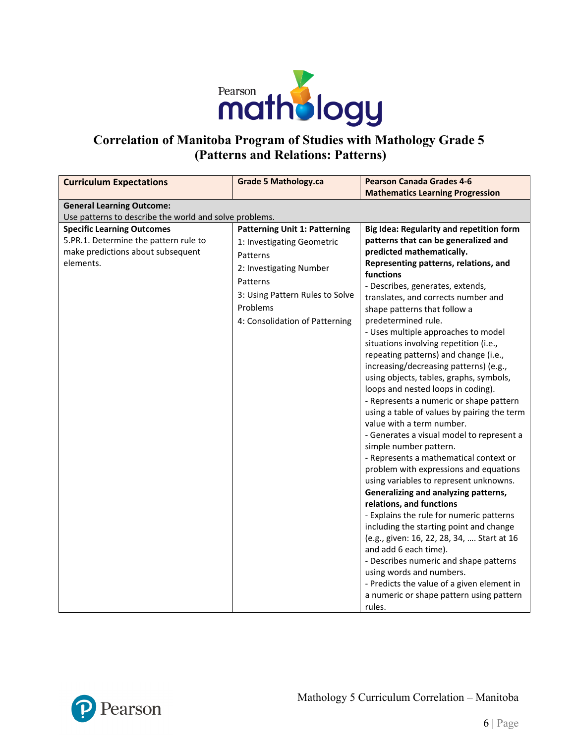

## **Correlation of Manitoba Program of Studies with Mathology Grade 5 (Patterns and Relations: Patterns)**

| <b>Curriculum Expectations</b>        | <b>Grade 5 Mathology.ca</b>                            | <b>Pearson Canada Grades 4-6</b>                                 |  |  |
|---------------------------------------|--------------------------------------------------------|------------------------------------------------------------------|--|--|
|                                       |                                                        | <b>Mathematics Learning Progression</b>                          |  |  |
| <b>General Learning Outcome:</b>      |                                                        |                                                                  |  |  |
|                                       | Use patterns to describe the world and solve problems. |                                                                  |  |  |
| <b>Specific Learning Outcomes</b>     | <b>Patterning Unit 1: Patterning</b>                   | Big Idea: Regularity and repetition form                         |  |  |
| 5.PR.1. Determine the pattern rule to | 1: Investigating Geometric                             | patterns that can be generalized and                             |  |  |
| make predictions about subsequent     | Patterns                                               | predicted mathematically.                                        |  |  |
| elements.                             | 2: Investigating Number                                | Representing patterns, relations, and<br>functions               |  |  |
|                                       | Patterns                                               | - Describes, generates, extends,                                 |  |  |
|                                       | 3: Using Pattern Rules to Solve                        | translates, and corrects number and                              |  |  |
|                                       | Problems                                               | shape patterns that follow a                                     |  |  |
|                                       | 4: Consolidation of Patterning                         | predetermined rule.                                              |  |  |
|                                       |                                                        | - Uses multiple approaches to model                              |  |  |
|                                       |                                                        | situations involving repetition (i.e.,                           |  |  |
|                                       |                                                        | repeating patterns) and change (i.e.,                            |  |  |
|                                       |                                                        | increasing/decreasing patterns) (e.g.,                           |  |  |
|                                       |                                                        | using objects, tables, graphs, symbols,                          |  |  |
|                                       |                                                        | loops and nested loops in coding).                               |  |  |
|                                       |                                                        | - Represents a numeric or shape pattern                          |  |  |
|                                       |                                                        | using a table of values by pairing the term                      |  |  |
|                                       |                                                        | value with a term number.                                        |  |  |
|                                       |                                                        | - Generates a visual model to represent a                        |  |  |
|                                       |                                                        | simple number pattern.<br>- Represents a mathematical context or |  |  |
|                                       |                                                        | problem with expressions and equations                           |  |  |
|                                       |                                                        | using variables to represent unknowns.                           |  |  |
|                                       |                                                        | Generalizing and analyzing patterns,                             |  |  |
|                                       |                                                        | relations, and functions                                         |  |  |
|                                       |                                                        | - Explains the rule for numeric patterns                         |  |  |
|                                       |                                                        | including the starting point and change                          |  |  |
|                                       |                                                        | (e.g., given: 16, 22, 28, 34,  Start at 16                       |  |  |
|                                       |                                                        | and add 6 each time).                                            |  |  |
|                                       |                                                        | - Describes numeric and shape patterns                           |  |  |
|                                       |                                                        | using words and numbers.                                         |  |  |
|                                       |                                                        | - Predicts the value of a given element in                       |  |  |
|                                       |                                                        | a numeric or shape pattern using pattern<br>rules.               |  |  |

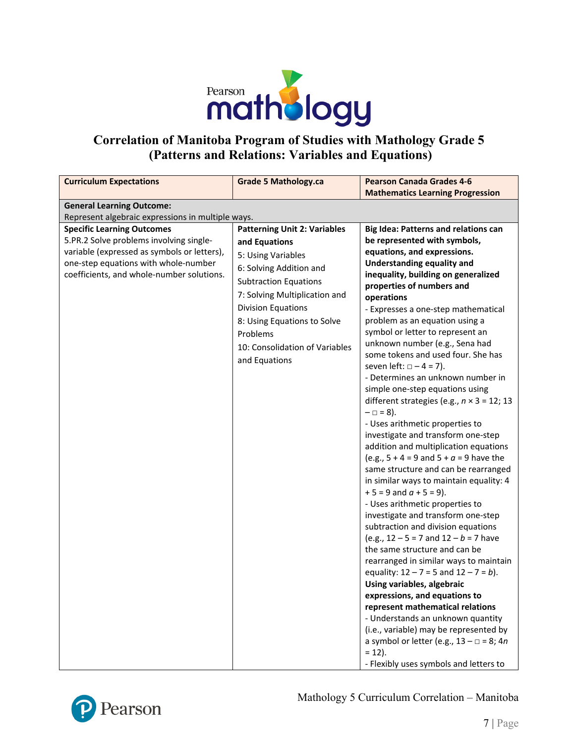

## **Correlation of Manitoba Program of Studies with Mathology Grade 5 (Patterns and Relations: Variables and Equations)**

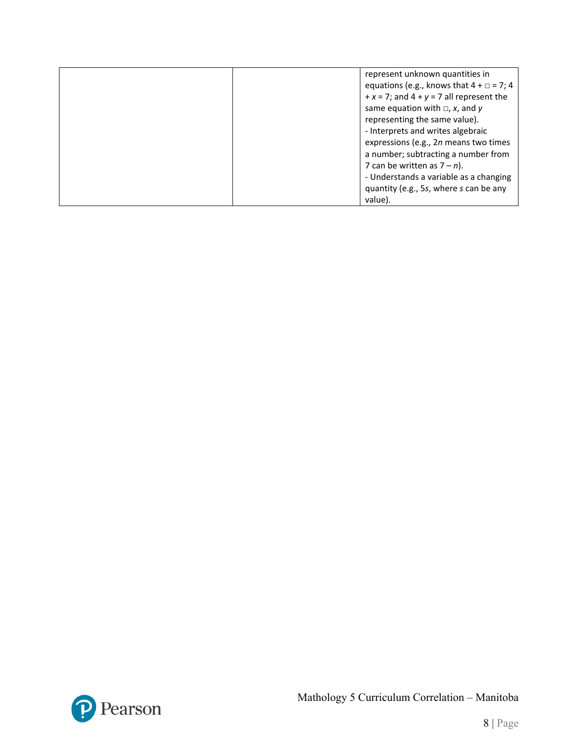| represent unknown quantities in                   |
|---------------------------------------------------|
| equations (e.g., knows that $4 + \square = 7$ ; 4 |
| $+x = 7$ ; and $4 + y = 7$ all represent the      |
| same equation with $\Box$ , x, and y              |
| representing the same value).                     |
| - Interprets and writes algebraic                 |
| expressions (e.g., 2n means two times             |
| a number; subtracting a number from               |
| 7 can be written as $7 - n$ ).                    |
| - Understands a variable as a changing            |
| quantity (e.g., 5s, where s can be any            |
| value).                                           |

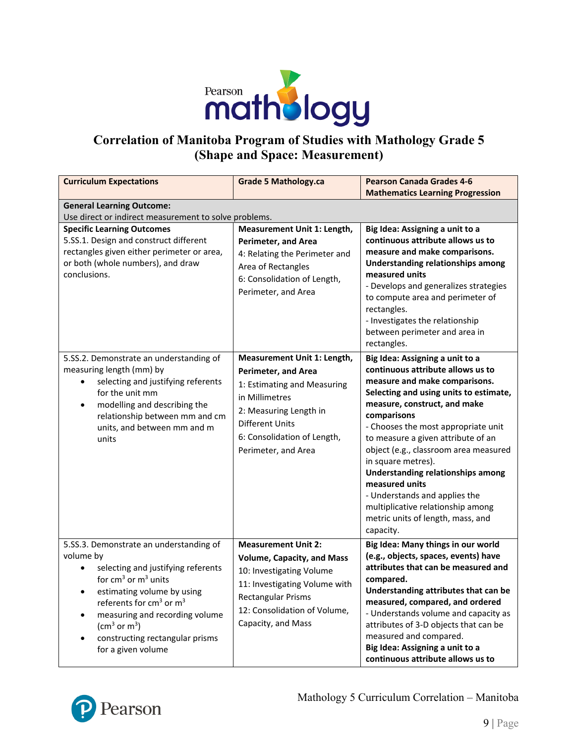

# **Correlation of Manitoba Program of Studies with Mathology Grade 5 (Shape and Space: Measurement)**

| <b>Curriculum Expectations</b>                                                                                                                                                                                                                                                                                                                         | <b>Grade 5 Mathology.ca</b>                                                                                                                                                                                          | <b>Pearson Canada Grades 4-6</b><br><b>Mathematics Learning Progression</b>                                                                                                                                                                                                                                                                                                                                                                                                                                                      |  |
|--------------------------------------------------------------------------------------------------------------------------------------------------------------------------------------------------------------------------------------------------------------------------------------------------------------------------------------------------------|----------------------------------------------------------------------------------------------------------------------------------------------------------------------------------------------------------------------|----------------------------------------------------------------------------------------------------------------------------------------------------------------------------------------------------------------------------------------------------------------------------------------------------------------------------------------------------------------------------------------------------------------------------------------------------------------------------------------------------------------------------------|--|
| <b>General Learning Outcome:</b><br>Use direct or indirect measurement to solve problems.                                                                                                                                                                                                                                                              |                                                                                                                                                                                                                      |                                                                                                                                                                                                                                                                                                                                                                                                                                                                                                                                  |  |
| <b>Specific Learning Outcomes</b><br>5.SS.1. Design and construct different<br>rectangles given either perimeter or area,<br>or both (whole numbers), and draw<br>conclusions.                                                                                                                                                                         | Measurement Unit 1: Length,<br><b>Perimeter, and Area</b><br>4: Relating the Perimeter and<br>Area of Rectangles<br>6: Consolidation of Length,<br>Perimeter, and Area                                               | Big Idea: Assigning a unit to a<br>continuous attribute allows us to<br>measure and make comparisons.<br><b>Understanding relationships among</b><br>measured units<br>- Develops and generalizes strategies<br>to compute area and perimeter of<br>rectangles.<br>- Investigates the relationship<br>between perimeter and area in<br>rectangles.                                                                                                                                                                               |  |
| 5.SS.2. Demonstrate an understanding of<br>measuring length (mm) by<br>selecting and justifying referents<br>for the unit mm<br>modelling and describing the<br>٠<br>relationship between mm and cm<br>units, and between mm and m<br>units                                                                                                            | Measurement Unit 1: Length,<br><b>Perimeter, and Area</b><br>1: Estimating and Measuring<br>in Millimetres<br>2: Measuring Length in<br><b>Different Units</b><br>6: Consolidation of Length,<br>Perimeter, and Area | Big Idea: Assigning a unit to a<br>continuous attribute allows us to<br>measure and make comparisons.<br>Selecting and using units to estimate,<br>measure, construct, and make<br>comparisons<br>- Chooses the most appropriate unit<br>to measure a given attribute of an<br>object (e.g., classroom area measured<br>in square metres).<br><b>Understanding relationships among</b><br>measured units<br>- Understands and applies the<br>multiplicative relationship among<br>metric units of length, mass, and<br>capacity. |  |
| 5.SS.3. Demonstrate an understanding of<br>volume by<br>selecting and justifying referents<br>for $cm3$ or $m3$ units<br>estimating volume by using<br>referents for cm <sup>3</sup> or m <sup>3</sup><br>measuring and recording volume<br>$\bullet$<br>(cm <sup>3</sup> or m <sup>3</sup> )<br>constructing rectangular prisms<br>for a given volume | <b>Measurement Unit 2:</b><br><b>Volume, Capacity, and Mass</b><br>10: Investigating Volume<br>11: Investigating Volume with<br><b>Rectangular Prisms</b><br>12: Consolidation of Volume,<br>Capacity, and Mass      | Big Idea: Many things in our world<br>(e.g., objects, spaces, events) have<br>attributes that can be measured and<br>compared.<br>Understanding attributes that can be<br>measured, compared, and ordered<br>- Understands volume and capacity as<br>attributes of 3-D objects that can be<br>measured and compared.<br>Big Idea: Assigning a unit to a<br>continuous attribute allows us to                                                                                                                                     |  |

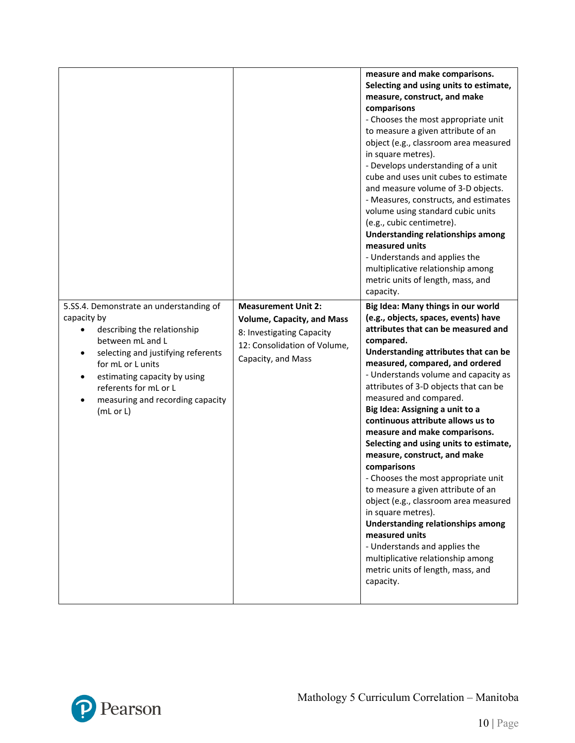|                                                                                                                                                                                                                                                                                                          |                                                                                                                                                    | measure and make comparisons.<br>Selecting and using units to estimate,<br>measure, construct, and make<br>comparisons<br>- Chooses the most appropriate unit<br>to measure a given attribute of an<br>object (e.g., classroom area measured<br>in square metres).<br>- Develops understanding of a unit<br>cube and uses unit cubes to estimate<br>and measure volume of 3-D objects.<br>- Measures, constructs, and estimates<br>volume using standard cubic units<br>(e.g., cubic centimetre).<br><b>Understanding relationships among</b><br>measured units<br>- Understands and applies the<br>multiplicative relationship among<br>metric units of length, mass, and<br>capacity.                                                                                                                                                           |
|----------------------------------------------------------------------------------------------------------------------------------------------------------------------------------------------------------------------------------------------------------------------------------------------------------|----------------------------------------------------------------------------------------------------------------------------------------------------|---------------------------------------------------------------------------------------------------------------------------------------------------------------------------------------------------------------------------------------------------------------------------------------------------------------------------------------------------------------------------------------------------------------------------------------------------------------------------------------------------------------------------------------------------------------------------------------------------------------------------------------------------------------------------------------------------------------------------------------------------------------------------------------------------------------------------------------------------|
| 5.SS.4. Demonstrate an understanding of<br>capacity by<br>describing the relationship<br>between mL and L<br>selecting and justifying referents<br>$\bullet$<br>for mL or L units<br>estimating capacity by using<br>$\bullet$<br>referents for mL or L<br>measuring and recording capacity<br>(mL or L) | <b>Measurement Unit 2:</b><br><b>Volume, Capacity, and Mass</b><br>8: Investigating Capacity<br>12: Consolidation of Volume,<br>Capacity, and Mass | Big Idea: Many things in our world<br>(e.g., objects, spaces, events) have<br>attributes that can be measured and<br>compared.<br>Understanding attributes that can be<br>measured, compared, and ordered<br>- Understands volume and capacity as<br>attributes of 3-D objects that can be<br>measured and compared.<br>Big Idea: Assigning a unit to a<br>continuous attribute allows us to<br>measure and make comparisons.<br>Selecting and using units to estimate,<br>measure, construct, and make<br>comparisons<br>- Chooses the most appropriate unit<br>to measure a given attribute of an<br>object (e.g., classroom area measured<br>in square metres).<br>Understanding relationships among<br>measured units<br>- Understands and applies the<br>multiplicative relationship among<br>metric units of length, mass, and<br>capacity. |

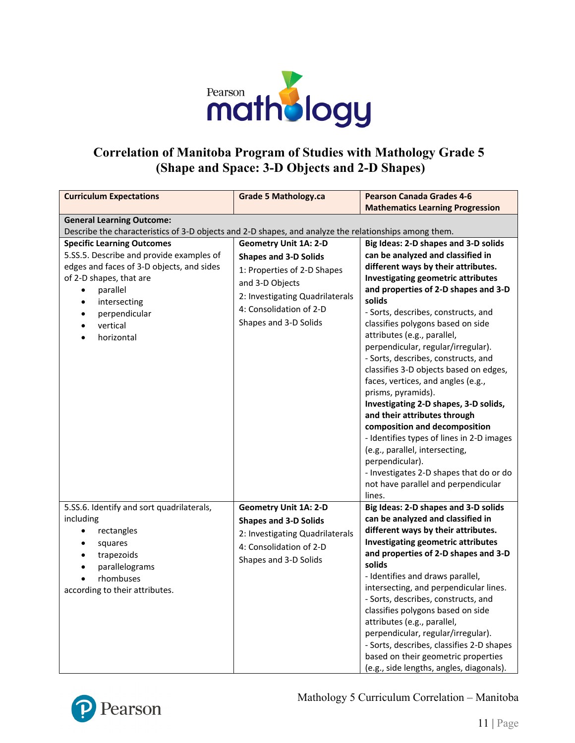

## **Correlation of Manitoba Program of Studies with Mathology Grade 5 (Shape and Space: 3-D Objects and 2-D Shapes)**

| <b>Curriculum Expectations</b>                                                                                                                                                                                                                                                   | <b>Grade 5 Mathology.ca</b>                                                                                                                                                                           | <b>Pearson Canada Grades 4-6</b>                                                                                                                                                                                                                                                                                                                                                                                                                                                                                                                                                                                                                                                                                          |  |
|----------------------------------------------------------------------------------------------------------------------------------------------------------------------------------------------------------------------------------------------------------------------------------|-------------------------------------------------------------------------------------------------------------------------------------------------------------------------------------------------------|---------------------------------------------------------------------------------------------------------------------------------------------------------------------------------------------------------------------------------------------------------------------------------------------------------------------------------------------------------------------------------------------------------------------------------------------------------------------------------------------------------------------------------------------------------------------------------------------------------------------------------------------------------------------------------------------------------------------------|--|
|                                                                                                                                                                                                                                                                                  |                                                                                                                                                                                                       | <b>Mathematics Learning Progression</b>                                                                                                                                                                                                                                                                                                                                                                                                                                                                                                                                                                                                                                                                                   |  |
| <b>General Learning Outcome:</b>                                                                                                                                                                                                                                                 |                                                                                                                                                                                                       |                                                                                                                                                                                                                                                                                                                                                                                                                                                                                                                                                                                                                                                                                                                           |  |
| Describe the characteristics of 3-D objects and 2-D shapes, and analyze the relationships among them.                                                                                                                                                                            |                                                                                                                                                                                                       |                                                                                                                                                                                                                                                                                                                                                                                                                                                                                                                                                                                                                                                                                                                           |  |
| <b>Specific Learning Outcomes</b><br>5.SS.5. Describe and provide examples of<br>edges and faces of 3-D objects, and sides<br>of 2-D shapes, that are<br>parallel<br>$\bullet$<br>intersecting<br>$\bullet$<br>perpendicular<br>$\bullet$<br>vertical<br>$\bullet$<br>horizontal | <b>Geometry Unit 1A: 2-D</b><br><b>Shapes and 3-D Solids</b><br>1: Properties of 2-D Shapes<br>and 3-D Objects<br>2: Investigating Quadrilaterals<br>4: Consolidation of 2-D<br>Shapes and 3-D Solids | Big Ideas: 2-D shapes and 3-D solids<br>can be analyzed and classified in<br>different ways by their attributes.<br><b>Investigating geometric attributes</b><br>and properties of 2-D shapes and 3-D<br>solids<br>- Sorts, describes, constructs, and<br>classifies polygons based on side<br>attributes (e.g., parallel,<br>perpendicular, regular/irregular).<br>- Sorts, describes, constructs, and<br>classifies 3-D objects based on edges,<br>faces, vertices, and angles (e.g.,<br>prisms, pyramids).<br>Investigating 2-D shapes, 3-D solids,<br>and their attributes through<br>composition and decomposition<br>- Identifies types of lines in 2-D images<br>(e.g., parallel, intersecting,<br>perpendicular). |  |
| 5.SS.6. Identify and sort quadrilaterals,<br>including<br>rectangles<br>$\bullet$<br>squares<br>$\bullet$<br>trapezoids<br>$\bullet$<br>parallelograms<br>$\bullet$<br>rhombuses<br>according to their attributes.                                                               | <b>Geometry Unit 1A: 2-D</b><br><b>Shapes and 3-D Solids</b><br>2: Investigating Quadrilaterals<br>4: Consolidation of 2-D<br>Shapes and 3-D Solids                                                   | - Investigates 2-D shapes that do or do<br>not have parallel and perpendicular<br>lines.<br>Big Ideas: 2-D shapes and 3-D solids<br>can be analyzed and classified in<br>different ways by their attributes.<br><b>Investigating geometric attributes</b><br>and properties of 2-D shapes and 3-D<br>solids<br>- Identifies and draws parallel,<br>intersecting, and perpendicular lines.<br>- Sorts, describes, constructs, and<br>classifies polygons based on side<br>attributes (e.g., parallel,<br>perpendicular, regular/irregular).<br>- Sorts, describes, classifies 2-D shapes<br>based on their geometric properties<br>(e.g., side lengths, angles, diagonals).                                                |  |



#### Mathology 5 Curriculum Correlation – Manitoba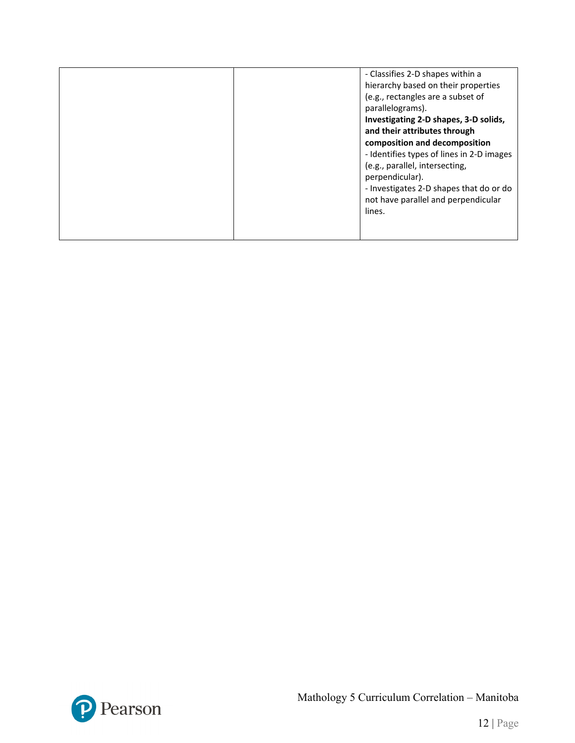|  | - Classifies 2-D shapes within a<br>hierarchy based on their properties<br>(e.g., rectangles are a subset of<br>parallelograms).<br>Investigating 2-D shapes, 3-D solids,<br>and their attributes through<br>composition and decomposition<br>- Identifies types of lines in 2-D images<br>(e.g., parallel, intersecting,<br>perpendicular).<br>- Investigates 2-D shapes that do or do<br>not have parallel and perpendicular<br>lines. |
|--|------------------------------------------------------------------------------------------------------------------------------------------------------------------------------------------------------------------------------------------------------------------------------------------------------------------------------------------------------------------------------------------------------------------------------------------|
|--|------------------------------------------------------------------------------------------------------------------------------------------------------------------------------------------------------------------------------------------------------------------------------------------------------------------------------------------------------------------------------------------------------------------------------------------|

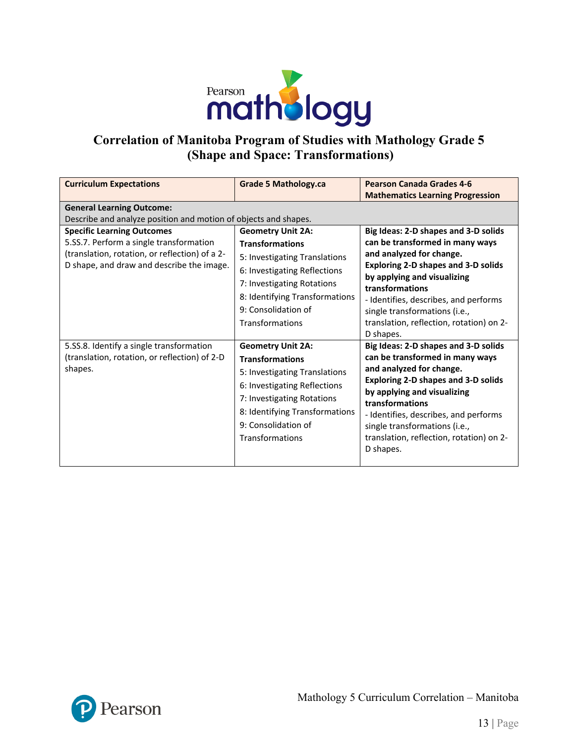

# **Correlation of Manitoba Program of Studies with Mathology Grade 5 (Shape and Space: Transformations)**

| <b>Curriculum Expectations</b>                                                                                                                                              | <b>Grade 5 Mathology.ca</b>                                                                                                                                                                                                   | <b>Pearson Canada Grades 4-6</b><br><b>Mathematics Learning Progression</b>                                                                                                                                                                                                                                                            |  |  |
|-----------------------------------------------------------------------------------------------------------------------------------------------------------------------------|-------------------------------------------------------------------------------------------------------------------------------------------------------------------------------------------------------------------------------|----------------------------------------------------------------------------------------------------------------------------------------------------------------------------------------------------------------------------------------------------------------------------------------------------------------------------------------|--|--|
| <b>General Learning Outcome:</b><br>Describe and analyze position and motion of objects and shapes.                                                                         |                                                                                                                                                                                                                               |                                                                                                                                                                                                                                                                                                                                        |  |  |
| <b>Specific Learning Outcomes</b><br>5.SS.7. Perform a single transformation<br>(translation, rotation, or reflection) of a 2-<br>D shape, and draw and describe the image. | <b>Geometry Unit 2A:</b><br><b>Transformations</b><br>5: Investigating Translations<br>6: Investigating Reflections<br>7: Investigating Rotations<br>8: Identifying Transformations<br>9: Consolidation of<br>Transformations | Big Ideas: 2-D shapes and 3-D solids<br>can be transformed in many ways<br>and analyzed for change.<br><b>Exploring 2-D shapes and 3-D solids</b><br>by applying and visualizing<br>transformations<br>- Identifies, describes, and performs<br>single transformations (i.e.,<br>translation, reflection, rotation) on 2-<br>D shapes. |  |  |
| 5.SS.8. Identify a single transformation<br>(translation, rotation, or reflection) of 2-D<br>shapes.                                                                        | <b>Geometry Unit 2A:</b><br><b>Transformations</b><br>5: Investigating Translations<br>6: Investigating Reflections<br>7: Investigating Rotations<br>8: Identifying Transformations<br>9: Consolidation of<br>Transformations | Big Ideas: 2-D shapes and 3-D solids<br>can be transformed in many ways<br>and analyzed for change.<br><b>Exploring 2-D shapes and 3-D solids</b><br>by applying and visualizing<br>transformations<br>- Identifies, describes, and performs<br>single transformations (i.e.,<br>translation, reflection, rotation) on 2-<br>D shapes. |  |  |

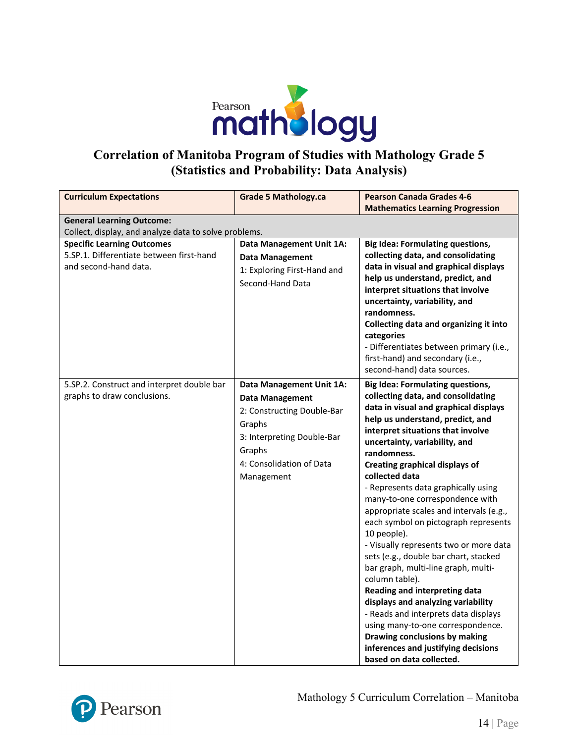

### **Correlation of Manitoba Program of Studies with Mathology Grade 5 (Statistics and Probability: Data Analysis)**

| <b>Curriculum Expectations</b>                                                                         | <b>Grade 5 Mathology.ca</b>                                                                                                                                                  | <b>Pearson Canada Grades 4-6</b><br><b>Mathematics Learning Progression</b>                                                                                                                                                                                                                                                                                                                                                                                                                                                                                                                                                                                                                                                                                                                                                                                                                |
|--------------------------------------------------------------------------------------------------------|------------------------------------------------------------------------------------------------------------------------------------------------------------------------------|--------------------------------------------------------------------------------------------------------------------------------------------------------------------------------------------------------------------------------------------------------------------------------------------------------------------------------------------------------------------------------------------------------------------------------------------------------------------------------------------------------------------------------------------------------------------------------------------------------------------------------------------------------------------------------------------------------------------------------------------------------------------------------------------------------------------------------------------------------------------------------------------|
| <b>General Learning Outcome:</b>                                                                       |                                                                                                                                                                              |                                                                                                                                                                                                                                                                                                                                                                                                                                                                                                                                                                                                                                                                                                                                                                                                                                                                                            |
| Collect, display, and analyze data to solve problems.                                                  |                                                                                                                                                                              |                                                                                                                                                                                                                                                                                                                                                                                                                                                                                                                                                                                                                                                                                                                                                                                                                                                                                            |
| <b>Specific Learning Outcomes</b><br>5.SP.1. Differentiate between first-hand<br>and second-hand data. | Data Management Unit 1A:<br>Data Management<br>1: Exploring First-Hand and<br>Second-Hand Data                                                                               | <b>Big Idea: Formulating questions,</b><br>collecting data, and consolidating<br>data in visual and graphical displays<br>help us understand, predict, and<br>interpret situations that involve<br>uncertainty, variability, and<br>randomness.<br>Collecting data and organizing it into<br>categories<br>- Differentiates between primary (i.e.,<br>first-hand) and secondary (i.e.,<br>second-hand) data sources.                                                                                                                                                                                                                                                                                                                                                                                                                                                                       |
| 5.SP.2. Construct and interpret double bar<br>graphs to draw conclusions.                              | Data Management Unit 1A:<br><b>Data Management</b><br>2: Constructing Double-Bar<br>Graphs<br>3: Interpreting Double-Bar<br>Graphs<br>4: Consolidation of Data<br>Management | <b>Big Idea: Formulating questions,</b><br>collecting data, and consolidating<br>data in visual and graphical displays<br>help us understand, predict, and<br>interpret situations that involve<br>uncertainty, variability, and<br>randomness.<br><b>Creating graphical displays of</b><br>collected data<br>- Represents data graphically using<br>many-to-one correspondence with<br>appropriate scales and intervals (e.g.,<br>each symbol on pictograph represents<br>10 people).<br>- Visually represents two or more data<br>sets (e.g., double bar chart, stacked<br>bar graph, multi-line graph, multi-<br>column table).<br>Reading and interpreting data<br>displays and analyzing variability<br>- Reads and interprets data displays<br>using many-to-one correspondence.<br>Drawing conclusions by making<br>inferences and justifying decisions<br>based on data collected. |

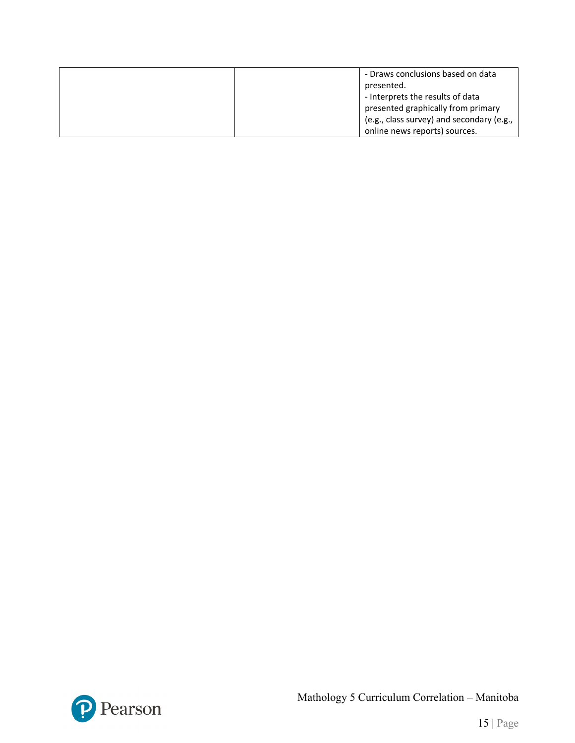| - Draws conclusions based on data         |
|-------------------------------------------|
| presented.                                |
| - Interprets the results of data          |
| presented graphically from primary        |
| (e.g., class survey) and secondary (e.g., |
| online news reports) sources.             |